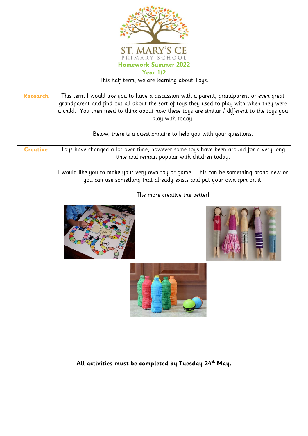

This half term, we are learning about Toys.

| <b>Research</b> | This term I would like you to have a discussion with a parent, grandparent or even great<br>grandparent and find out all about the sort of toys they used to play with when they were<br>a child. You then need to think about how these toys are similar / different to the toys you<br>play with today. |  |
|-----------------|-----------------------------------------------------------------------------------------------------------------------------------------------------------------------------------------------------------------------------------------------------------------------------------------------------------|--|
|                 | Below, there is a questionnaire to help you with your questions.                                                                                                                                                                                                                                          |  |
| <b>Creative</b> | Toys have changed a lot over time, however some toys have been around for a very long<br>time and remain popular with children today.                                                                                                                                                                     |  |
|                 | I would like you to make your very own toy or game. This can be something brand new or<br>you can use something that already exists and put your own spin on it.                                                                                                                                          |  |
|                 | The more creative the better!                                                                                                                                                                                                                                                                             |  |
|                 |                                                                                                                                                                                                                                                                                                           |  |
|                 |                                                                                                                                                                                                                                                                                                           |  |

**All activities must be completed by Tuesday 24th May.**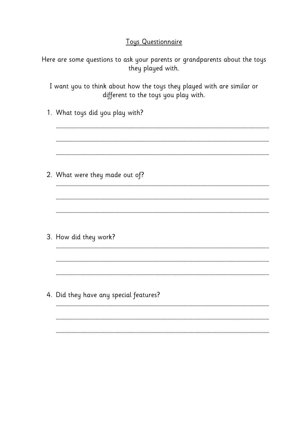## **Toys Questionnaire**

Here are some questions to ask your parents or grandparents about the toys they played with.

I want you to think about how the toys they played with are similar or different to the toys you play with.

1. What toys did you play with?

2. What were they made out of?

3. How did they work?

4. Did they have any special features?